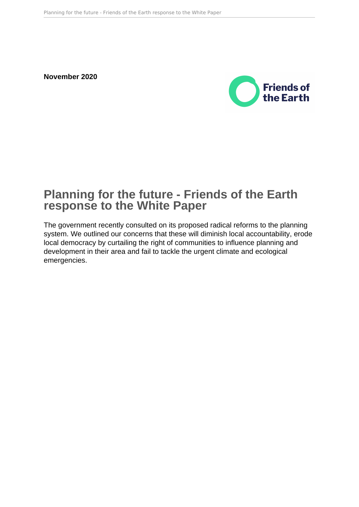**November 2020**



# **Planning for the future - Friends of the Earth response to the White Paper**

The government recently consulted on its proposed radical reforms to the planning system. We outlined our concerns that these will diminish local accountability, erode local democracy by curtailing the right of communities to influence planning and development in their area and fail to tackle the urgent climate and ecological emergencies.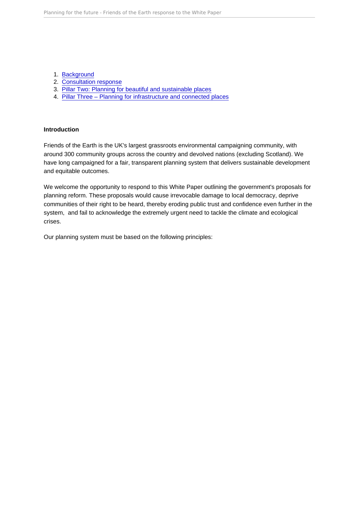- 1. [Background](#page-2-0)
- 2. [Consultation response](#page-3-0)
- 3. [Pillar Two: Planning for beautiful and sustainable places](#page-18-0)
- 4. [Pillar Three Planning for infrastructure and connected places](#page-20-0)

#### Introduction

Friends of the Earth is the UK's largest grassroots environmental campaigning community, with around 300 community groups across the country and devolved nations (excluding Scotland). We have long campaigned for a fair, transparent planning system that delivers sustainable development and equitable outcomes.

We welcome the opportunity to respond to this White Paper outlining the government's proposals for planning reform. These proposals would cause irrevocable damage to local democracy, deprive communities of their right to be heard, thereby eroding public trust and confidence even further in the system, and fail to acknowledge the extremely urgent need to tackle the climate and ecological crises.

Our planning system must be based on the following principles: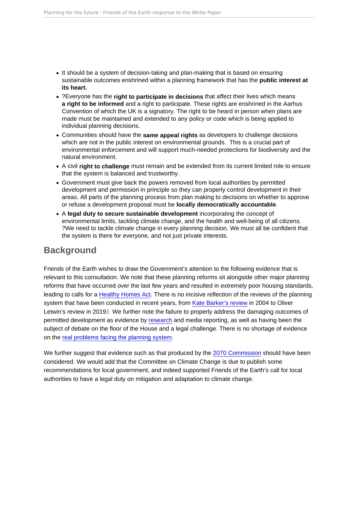- <span id="page-2-0"></span>• It should be a system of decision-taking and plan-making that is based on ensuring sustainable outcomes enshrined within a planning framework that has the public interest at its heart.
- ?Everyone has the right to participate in decisions that affect their lives which means a right to be informed and a right to participate. These rights are enshrined in the Aarhus Convention of which the UK is a signatory. The right to be heard in person when plans are made must be maintained and extended to any policy or code which is being applied to individual planning decisions.
- Communities should have the same appeal rights as developers to challenge decisions which are not in the public interest on environmental grounds. This is a crucial part of environmental enforcement and will support much-needed protections for biodiversity and the natural environment.
- A civil right to challenge must remain and be extended from its current limited role to ensure that the system is balanced and trustworthy.
- Government must give back the powers removed from local authorities by permitted development and permission in principle so they can properly control development in their areas. All parts of the planning process from plan making to decisions on whether to approve or refuse a development proposal must be locally democratically accountable .
- A legal duty to secure sustainable development incorporating the concept of environmental limits, tackling climate change, and the health and well-being of all citizens. ?We need to tackle climate change in every planning decision. We must all be confident that the system is there for everyone, and not just private interests.

## **Background**

Friends of the Earth wishes to draw the Government's attention to the following evidence that is relevant to this consultation. We note that these planning reforms sit alongside other major planning reforms that have occurred over the last few years and resulted in extremely poor housing standards, leading to calls for a [Healthy Homes Act.](https://www.tcpa.org.uk/healthy-homes-act) There is no incisive reflection of the reviews of the planning system that have been conducted in recent years, from [Kate Barker's review](https://assets.publishing.service.gov.uk/government/uploads/system/uploads/attachment_data/file/228605/0118404857.pdf) in 2004 to Oliver Letwin's review in 20[1](#page-25-0)9.<sup>1</sup> We further note the failure to properly address the damaging outcomes of permitted development as evidence by [research](https://assets.publishing.service.gov.uk/government/uploads/system/uploads/attachment_data/file/902220/Research_report_quality_PDR_homes.pdf) and media reporting, as well as having been the subject of debate on the floor of the House and a legal challenge. There is no shortage of evidence on the [real problems facing the planning system.](https://www.tcpa.org.uk/the-wrong-answers-to-the-wrong-questions)

We further suggest that evidence such as that produced by the [2070 Commission](http://uk2070.org.uk/wp-content/uploads/2020/04/Declaration_of_Intent_Brochure.pdf) should have been considered. We would add that the Committee on Climate Change is due to publish some recommendations for local government, and indeed supported Friends of the Earth's call for local authorities to have a legal duty on mitigation and adaptation to climate change.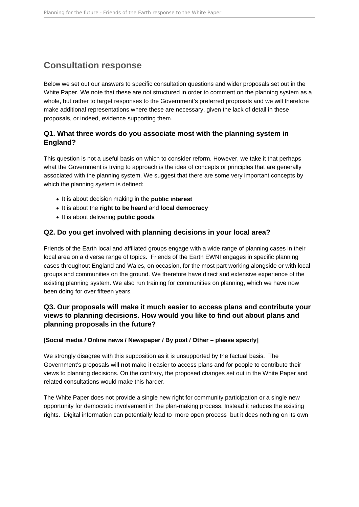## <span id="page-3-0"></span>**Consultation response**

Below we set out our answers to specific consultation questions and wider proposals set out in the White Paper. We note that these are not structured in order to comment on the planning system as a whole, but rather to target responses to the Government's preferred proposals and we will therefore make additional representations where these are necessary, given the lack of detail in these proposals, or indeed, evidence supporting them.

### **Q1. What three words do you associate most with the planning system in England?**

This question is not a useful basis on which to consider reform. However, we take it that perhaps what the Government is trying to approach is the idea of concepts or principles that are generally associated with the planning system. We suggest that there are some very important concepts by which the planning system is defined:

- It is about decision making in the **public interest**
- It is about the **right to be heard** and **local democracy**
- It is about delivering **public goods**

#### **Q2. Do you get involved with planning decisions in your local area?**

Friends of the Earth local and affiliated groups engage with a wide range of planning cases in their local area on a diverse range of topics. Friends of the Earth EWNI engages in specific planning cases throughout England and Wales, on occasion, for the most part working alongside or with local groups and communities on the ground. We therefore have direct and extensive experience of the existing planning system. We also run training for communities on planning, which we have now been doing for over fifteen years.

### **Q3. Our proposals will make it much easier to access plans and contribute your views to planning decisions. How would you like to find out about plans and planning proposals in the future?**

#### **[Social media / Online news / Newspaper / By post / Other – please specify]**

We strongly disagree with this supposition as it is unsupported by the factual basis. The Government's proposals will **not** make it easier to access plans and for people to contribute their views to planning decisions. On the contrary, the proposed changes set out in the White Paper and related consultations would make this harder.

The White Paper does not provide a single new right for community participation or a single new opportunity for democratic involvement in the plan-making process. Instead it reduces the existing rights. Digital information can potentially lead to more open process but it does nothing on its own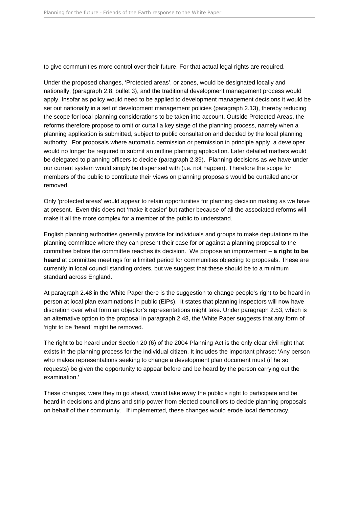to give communities more control over their future. For that actual legal rights are required.

Under the proposed changes, 'Protected areas', or zones, would be designated locally and nationally, (paragraph 2.8, bullet 3), and the traditional development management process would apply. Insofar as policy would need to be applied to development management decisions it would be set out nationally in a set of development management policies (paragraph 2.13), thereby reducing the scope for local planning considerations to be taken into account. Outside Protected Areas, the reforms therefore propose to omit or curtail a key stage of the planning process, namely when a planning application is submitted, subject to public consultation and decided by the local planning authority. For proposals where automatic permission or permission in principle apply, a developer would no longer be required to submit an outline planning application. Later detailed matters would be delegated to planning officers to decide (paragraph 2.39). Planning decisions as we have under our current system would simply be dispensed with (i.e. not happen). Therefore the scope for members of the public to contribute their views on planning proposals would be curtailed and/or removed.

Only 'protected areas' would appear to retain opportunities for planning decision making as we have at present. Even this does not 'make it easier' but rather because of all the associated reforms will make it all the more complex for a member of the public to understand.

English planning authorities generally provide for individuals and groups to make deputations to the planning committee where they can present their case for or against a planning proposal to the committee before the committee reaches its decision. We propose an improvement – **a right to be heard** at committee meetings for a limited period for communities objecting to proposals. These are currently in local council standing orders, but we suggest that these should be to a minimum standard across England.

At paragraph 2.48 in the White Paper there is the suggestion to change people's right to be heard in person at local plan examinations in public (EiPs). It states that planning inspectors will now have discretion over what form an objector's representations might take. Under paragraph 2.53, which is an alternative option to the proposal in paragraph 2.48, the White Paper suggests that any form of 'right to be 'heard' might be removed.

The right to be heard under Section 20 (6) of the 2004 Planning Act is the only clear civil right that exists in the planning process for the individual citizen. It includes the important phrase: 'Any person who makes representations seeking to change a development plan document must (if he so requests) be given the opportunity to appear before and be heard by the person carrying out the examination.'

These changes, were they to go ahead, would take away the public's right to participate and be heard in decisions and plans and strip power from elected councillors to decide planning proposals on behalf of their community. If implemented, these changes would erode local democracy,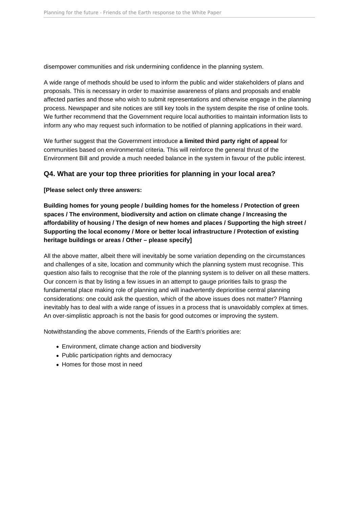disempower communities and risk undermining confidence in the planning system.

A wide range of methods should be used to inform the public and wider stakeholders of plans and proposals. This is necessary in order to maximise awareness of plans and proposals and enable affected parties and those who wish to submit representations and otherwise engage in the planning process. Newspaper and site notices are still key tools in the system despite the rise of online tools. We further recommend that the Government require local authorities to maintain information lists to inform any who may request such information to be notified of planning applications in their ward.

We further suggest that the Government introduce **a limited third party right of appeal** for communities based on environmental criteria. This will reinforce the general thrust of the Environment Bill and provide a much needed balance in the system in favour of the public interest.

### **Q4. What are your top three priorities for planning in your local area?**

**[Please select only three answers:** 

**Building homes for young people / building homes for the homeless / Protection of green spaces / The environment, biodiversity and action on climate change / Increasing the affordability of housing / The design of new homes and places / Supporting the high street / Supporting the local economy / More or better local infrastructure / Protection of existing heritage buildings or areas / Other – please specify]** 

All the above matter, albeit there will inevitably be some variation depending on the circumstances and challenges of a site, location and community which the planning system must recognise. This question also fails to recognise that the role of the planning system is to deliver on all these matters. Our concern is that by listing a few issues in an attempt to gauge priorities fails to grasp the fundamental place making role of planning and will inadvertently deprioritise central planning considerations: one could ask the question, which of the above issues does not matter? Planning inevitably has to deal with a wide range of issues in a process that is unavoidably complex at times. An over-simplistic approach is not the basis for good outcomes or improving the system.

Notwithstanding the above comments, Friends of the Earth's priorities are:

- Environment, climate change action and biodiversity
- Public participation rights and democracy
- Homes for those most in need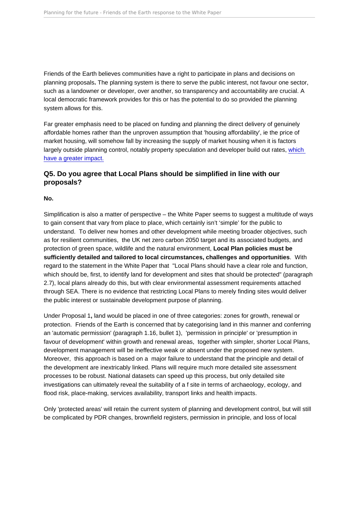Friends of the Earth believes communities have a right to participate in plans and decisions on planning proposals. The planning system is there to serve the public interest, not favour one sector, such as a landowner or developer, over another, so transparency and accountability are crucial. A local democratic framework provides for this or has the potential to do so provided the planning system allows for this.

Far greater emphasis need to be placed on funding and planning the direct delivery of genuinely affordable homes rather than the unproven assumption that 'housing affordability', ie the price of market housing, will somehow fall by increasing the supply of market housing when it is factors largely outside planning control, notably property speculation and developer build out rates, [which](https://www.theguardian.com/commentisfree/2018/jan/27/building-homes-britain-housing-crisis)  [have a greater impact.](https://www.theguardian.com/commentisfree/2018/jan/27/building-homes-britain-housing-crisis)

Q5. Do you agree that Local Plans should be simplified in line with our proposals?

No.

Simplification is also a matter of perspective – the White Paper seems to suggest a multitude of ways to gain consent that vary from place to place, which certainly isn't 'simple' for the public to understand. To deliver new homes and other development while meeting broader objectives, such as for resilient communities, the UK net zero carbon 2050 target and its associated budgets, and protection of green space, wildlife and the natural environment, Local Plan policies must be sufficiently detailed and tailored to local circumstances, challenges and opportunities . With regard to the statement in the White Paper that "Local Plans should have a clear role and function, which should be, first, to identify land for development and sites that should be protected" (paragraph 2.7), local plans already do this, but with clear environmental assessment requirements attached through SEA. There is no evidence that restricting Local Plans to merely finding sites would deliver the public interest or sustainable development purpose of planning.

Under Proposal 1, land would be placed in one of three categories: zones for growth, renewal or protection. Friends of the Earth is concerned that by categorising land in this manner and conferring an 'automatic permission' (paragraph 1.16, bullet 1), 'permission in principle' or 'presumption in favour of development' within growth and renewal areas, together with simpler, shorter Local Plans, development management will be ineffective weak or absent under the proposed new system. Moreover, this approach is based on a major failure to understand that the principle and detail of the development are inextricably linked. Plans will require much more detailed site assessment processes to be robust. National datasets can speed up this process, but only detailed site investigations can ultimately reveal the suitability of a f site in terms of archaeology, ecology, and flood risk, place-making, services availability, transport links and health impacts.

Only 'protected areas' will retain the current system of planning and development control, but will still be complicated by PDR changes, brownfield registers, permission in principle, and loss of local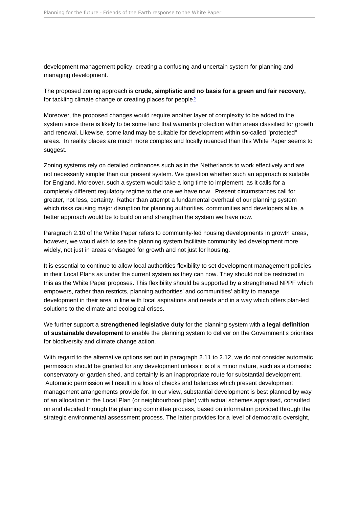<span id="page-7-0"></span>development management policy. creating a confusing and uncertain system for planning and managing development.

The proposed zoning approach is crude, simplistic and no basis for a green and fair recovery, for tackling climate change or creating places for people?

Moreover, the proposed changes would require another layer of complexity to be added to the system since there is likely to be some land that warrants protection within areas classified for growth and renewal. Likewise, some land may be suitable for development within so-called "protected" areas. In reality places are much more complex and locally nuanced than this White Paper seems to suggest.

Zoning systems rely on detailed ordinances such as in the Netherlands to work effectively and are not necessarily simpler than our present system. We question whether such an approach is suitable for England. Moreover, such a system would take a long time to implement, as it calls for a completely different regulatory regime to the one we have now. Present circumstances call for greater, not less, certainty. Rather than attempt a fundamental overhaul of our planning system which risks causing major disruption for planning authorities, communities and developers alike, a better approach would be to build on and strengthen the system we have now.

Paragraph 2.10 of the White Paper refers to community-led housing developments in growth areas, however, we would wish to see the planning system facilitate community led development more widely, not just in areas envisaged for growth and not just for housing.

It is essential to continue to allow local authorities flexibility to set development management policies in their Local Plans as under the current system as they can now. They should not be restricted in this as the White Paper proposes. This flexibility should be supported by a strengthened NPPF which empowers, rather than restricts, planning authorities' and communities' ability to manage development in their area in line with local aspirations and needs and in a way which offers plan-led solutions to the climate and ecological crises.

We further support a strengthened legislative duty for the planning system with a legal definition of sustainable development to enable the planning system to deliver on the Government's priorities for biodiversity and climate change action.

With regard to the alternative options set out in paragraph 2.11 to 2.12, we do not consider automatic permission should be granted for any development unless it is of a minor nature, such as a domestic conservatory or garden shed, and certainly is an inappropriate route for substantial development. Automatic permission will result in a loss of checks and balances which present development management arrangements provide for. In our view, substantial development is best planned by way of an allocation in the Local Plan (or neighbourhood plan) with actual schemes appraised, consulted on and decided through the planning committee process, based on information provided through the strategic environmental assessment process. The latter provides for a level of democratic oversight,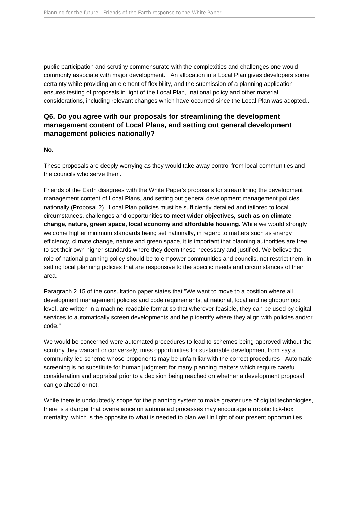public participation and scrutiny commensurate with the complexities and challenges one would commonly associate with major development. An allocation in a Local Plan gives developers some certainty while providing an element of flexibility, and the submission of a planning application ensures testing of proposals in light of the Local Plan, national policy and other material considerations, including relevant changes which have occurred since the Local Plan was adopted..

### **Q6. Do you agree with our proposals for streamlining the development management content of Local Plans, and setting out general development management policies nationally?**

#### **No**.

These proposals are deeply worrying as they would take away control from local communities and the councils who serve them.

Friends of the Earth disagrees with the White Paper's proposals for streamlining the development management content of Local Plans, and setting out general development management policies nationally (Proposal 2). Local Plan policies must be sufficiently detailed and tailored to local circumstances, challenges and opportunities **to meet wider objectives, such as on climate change, nature, green space, local economy and affordable housing.** While we would strongly welcome higher minimum standards being set nationally, in regard to matters such as energy efficiency, climate change, nature and green space, it is important that planning authorities are free to set their own higher standards where they deem these necessary and justified. We believe the role of national planning policy should be to empower communities and councils, not restrict them, in setting local planning policies that are responsive to the specific needs and circumstances of their area.

Paragraph 2.15 of the consultation paper states that "We want to move to a position where all development management policies and code requirements, at national, local and neighbourhood level, are written in a machine-readable format so that wherever feasible, they can be used by digital services to automatically screen developments and help identify where they align with policies and/or code."

We would be concerned were automated procedures to lead to schemes being approved without the scrutiny they warrant or conversely, miss opportunities for sustainable development from say a community led scheme whose proponents may be unfamiliar with the correct procedures. Automatic screening is no substitute for human judgment for many planning matters which require careful consideration and appraisal prior to a decision being reached on whether a development proposal can go ahead or not.

While there is undoubtedly scope for the planning system to make greater use of digital technologies, there is a danger that overreliance on automated processes may encourage a robotic tick-box mentality, which is the opposite to what is needed to plan well in light of our present opportunities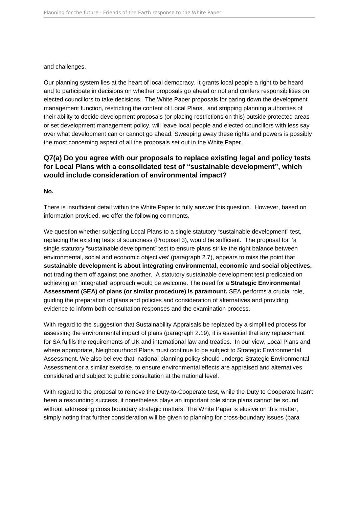and challenges.

Our planning system lies at the heart of local democracy. It grants local people a right to be heard and to participate in decisions on whether proposals go ahead or not and confers responsibilities on elected councillors to take decisions. The White Paper proposals for paring down the development management function, restricting the content of Local Plans, and stripping planning authorities of their ability to decide development proposals (or placing restrictions on this) outside protected areas or set development management policy, will leave local people and elected councillors with less say over what development can or cannot go ahead. Sweeping away these rights and powers is possibly the most concerning aspect of all the proposals set out in the White Paper.

### **Q7(a) Do you agree with our proposals to replace existing legal and policy tests for Local Plans with a consolidated test of "sustainable development", which would include consideration of environmental impact?**

**No.** 

There is insufficient detail within the White Paper to fully answer this question. However, based on information provided, we offer the following comments.

We question whether subjecting Local Plans to a single statutory "sustainable development" test, replacing the existing tests of soundness (Proposal 3), would be sufficient. The proposal for 'a single statutory "sustainable development" test to ensure plans strike the right balance between environmental, social and economic objectives' (paragraph 2.7), appears to miss the point that **sustainable development is about integrating environmental, economic and social objectives,**  not trading them off against one another. A statutory sustainable development test predicated on achieving an 'integrated' approach would be welcome. The need for a **Strategic Environmental Assessment (SEA) of plans (or similar procedure) is paramount.** SEA performs a crucial role, guiding the preparation of plans and policies and consideration of alternatives and providing evidence to inform both consultation responses and the examination process.

With regard to the suggestion that Sustainability Appraisals be replaced by a simplified process for assessing the environmental impact of plans (paragraph 2.19), it is essential that any replacement for SA fulfils the requirements of UK and international law and treaties. In our view, Local Plans and, where appropriate, Neighbourhood Plans must continue to be subject to Strategic Environmental Assessment. We also believe that national planning policy should undergo Strategic Environmental Assessment or a similar exercise, to ensure environmental effects are appraised and alternatives considered and subject to public consultation at the national level.

With regard to the proposal to remove the Duty-to-Cooperate test, while the Duty to Cooperate hasn't been a resounding success, it nonetheless plays an important role since plans cannot be sound without addressing cross boundary strategic matters. The White Paper is elusive on this matter, simply noting that further consideration will be given to planning for cross-boundary issues (para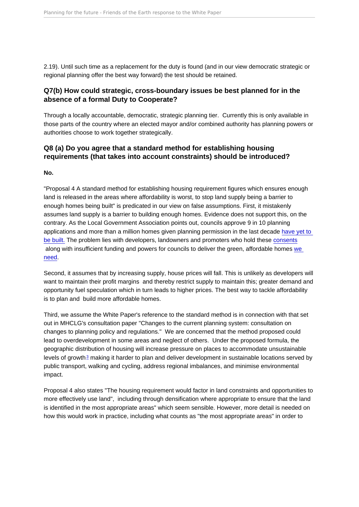<span id="page-10-0"></span>2.19). Until such time as a replacement for the duty is found (and in our view democratic strategic or regional planning offer the best way forward) the test should be retained.

Q7(b) How could strategic, cross-boundary issues be best planned for in the absence of a formal Duty to Cooperate?

Through a locally accountable, democratic, strategic planning tier. Currently this is only available in those parts of the country where an elected mayor and/or combined authority has planning powers or authorities choose to work together strategically.

Q8 (a) Do you agree that a standard method for establishing housing requirements (that takes into account constraints) should be introduced?

No.

"Proposal 4 A standard method for establishing housing requirement figures which ensures enough land is released in the areas where affordability is worst, to stop land supply being a barrier to enough homes being built" is predicated in our view on false assumptions. First, it mistakenly assumes land supply is a barrier to building enough homes. Evidence does not support this, on the contrary. As the Local Government Association points out, councils approve 9 in 10 planning applications and more than a million homes given planning permission in the last decade have yet to [be built.](https://www.local.gov.uk/sites/default/files/documents/LGA Planning recovery paper_ FINAL_2.pdf ) The problem lies with developers, landowners and promoters who hold these [consents](https://policy.friendsoftheearth.ukIs housing land supply constrained by the planning system? ) along with insufficient funding and powers for councils to deliver the green, affordable homes [we](https://districtcouncils.info/press-releases/district-councils-respond-to-planning-for-the-future-proposals/)  [need.](https://districtcouncils.info/press-releases/district-councils-respond-to-planning-for-the-future-proposals/)

Second, it assumes that by increasing supply, house prices will fall. This is unlikely as developers will want to maintain their profit margins and thereby restrict supply to maintain this; greater demand and opportunity fuel speculation which in turn leads to higher prices. The best way to tackle affordability is to plan and build more affordable homes.

Third, we assume the White Paper's reference to the standard method is in connection with that set out in MHCLG's consultation paper "Changes to the current planning system: consultation on changes to planning policy and regulations." We are concerned that the method proposed could lead to overdevelopment in some areas and neglect of others. Under the proposed formula, the geographic distribution of housing will increase pressure on places to accommodate unsustainable levels of growth<sup>[3](#page-25-0)</sup> making it harder to plan and deliver development in sustainable locations served by public transport, walking and cycling, address regional imbalances, and minimise environmental impact.

Proposal 4 also states "The housing requirement would factor in land constraints and opportunities to more effectively use land", including through densification where appropriate to ensure that the land is identified in the most appropriate areas" which seem sensible. However, more detail is needed on how this would work in practice, including what counts as "the most appropriate areas" in order to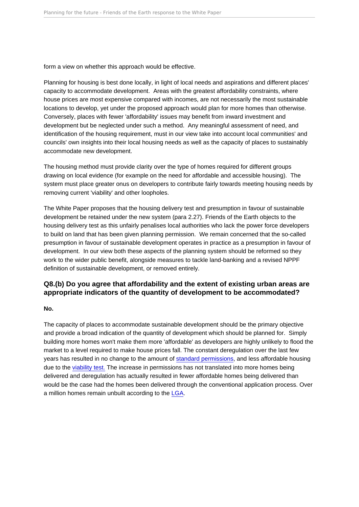form a view on whether this approach would be effective.

Planning for housing is best done locally, in light of local needs and aspirations and different places' capacity to accommodate development. Areas with the greatest affordability constraints, where house prices are most expensive compared with incomes, are not necessarily the most sustainable locations to develop, yet under the proposed approach would plan for more homes than otherwise. Conversely, places with fewer 'affordability' issues may benefit from inward investment and development but be neglected under such a method. Any meaningful assessment of need, and identification of the housing requirement, must in our view take into account local communities' and councils' own insights into their local housing needs as well as the capacity of places to sustainably accommodate new development.

The housing method must provide clarity over the type of homes required for different groups drawing on local evidence (for example on the need for affordable and accessible housing). The system must place greater onus on developers to contribute fairly towards meeting housing needs by removing current 'viability' and other loopholes.

The White Paper proposes that the housing delivery test and presumption in favour of sustainable development be retained under the new system (para 2.27). Friends of the Earth objects to the housing delivery test as this unfairly penalises local authorities who lack the power force developers to build on land that has been given planning permission. We remain concerned that the so-called presumption in favour of sustainable development operates in practice as a presumption in favour of development. In our view both these aspects of the planning system should be reformed so they work to the wider public benefit, alongside measures to tackle land-banking and a revised NPPF definition of sustainable development, or removed entirely.

Q8.(b) Do you agree that affordability and the extent of existing urban areas are appropriate indicators of the quantity of development to be accommodated?

No.

The capacity of places to accommodate sustainable development should be the primary objective and provide a broad indication of the quantity of development which should be planned for. Simply building more homes won't make them more 'affordable' as developers are highly unlikely to flood the market to a level required to make house prices fall. The constant deregulation over the last few years has resulted in no change to the amount of [standard permissions](https://policy.friendsoftheearth.uk Trends in applications received, decided and granted since 2004/5), and less affordable housing due to the [viability test.](https://publications.parliament.uk/pa/cm5801/cmselect/cmcomloc/173/173.pdf) The increase in permissions has not translated into more homes being delivered and deregulation has actually resulted in fewer affordable homes being delivered than would be the case had the homes been delivered through the conventional application process. Over a million homes remain unbuilt according to the [LGA](https://www.local.gov.uk/housing-backlog-more-million-homes-planning-permission-not-yet-built).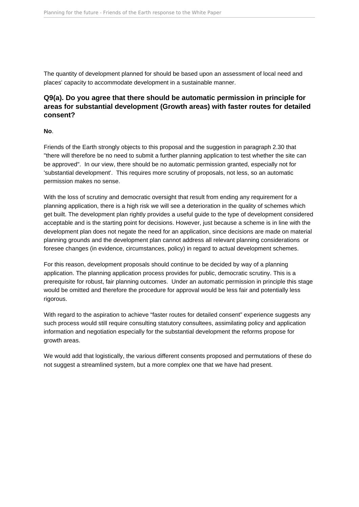The quantity of development planned for should be based upon an assessment of local need and places' capacity to accommodate development in a sustainable manner.

### **Q9(a). Do you agree that there should be automatic permission in principle for areas for substantial development (Growth areas) with faster routes for detailed consent?**

#### **No**.

Friends of the Earth strongly objects to this proposal and the suggestion in paragraph 2.30 that "there will therefore be no need to submit a further planning application to test whether the site can be approved". In our view, there should be no automatic permission granted, especially not for 'substantial development'. This requires more scrutiny of proposals, not less, so an automatic permission makes no sense.

With the loss of scrutiny and democratic oversight that result from ending any requirement for a planning application, there is a high risk we will see a deterioration in the quality of schemes which get built. The development plan rightly provides a useful guide to the type of development considered acceptable and is the starting point for decisions. However, just because a scheme is in line with the development plan does not negate the need for an application, since decisions are made on material planning grounds and the development plan cannot address all relevant planning considerations or foresee changes (in evidence, circumstances, policy) in regard to actual development schemes.

For this reason, development proposals should continue to be decided by way of a planning application. The planning application process provides for public, democratic scrutiny. This is a prerequisite for robust, fair planning outcomes. Under an automatic permission in principle this stage would be omitted and therefore the procedure for approval would be less fair and potentially less rigorous.

With regard to the aspiration to achieve "faster routes for detailed consent" experience suggests any such process would still require consulting statutory consultees, assimilating policy and application information and negotiation especially for the substantial development the reforms propose for growth areas.

We would add that logistically, the various different consents proposed and permutations of these do not suggest a streamlined system, but a more complex one that we have had present.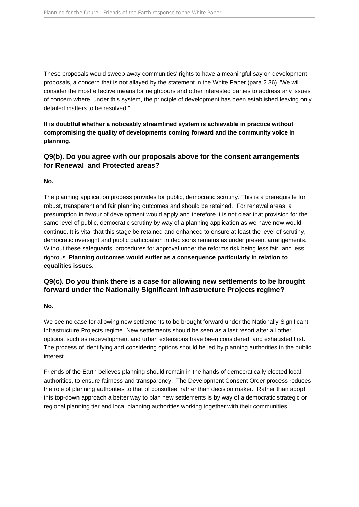These proposals would sweep away communities' rights to have a meaningful say on development proposals, a concern that is not allayed by the statement in the White Paper (para 2.36) "We will consider the most effective means for neighbours and other interested parties to address any issues of concern where, under this system, the principle of development has been established leaving only detailed matters to be resolved."

**It is doubtful whether a noticeably streamlined system is achievable in practice without compromising the quality of developments coming forward and the community voice in planning**.

### **Q9(b). Do you agree with our proposals above for the consent arrangements for Renewal and Protected areas?**

#### **No.**

The planning application process provides for public, democratic scrutiny. This is a prerequisite for robust, transparent and fair planning outcomes and should be retained. For renewal areas, a presumption in favour of development would apply and therefore it is not clear that provision for the same level of public, democratic scrutiny by way of a planning application as we have now would continue. It is vital that this stage be retained and enhanced to ensure at least the level of scrutiny, democratic oversight and public participation in decisions remains as under present arrangements. Without these safeguards, procedures for approval under the reforms risk being less fair, and less rigorous. **Planning outcomes would suffer as a consequence particularly in relation to equalities issues.**

### **Q9(c). Do you think there is a case for allowing new settlements to be brought forward under the Nationally Significant Infrastructure Projects regime?**

#### **No.**

We see no case for allowing new settlements to be brought forward under the Nationally Significant Infrastructure Projects regime. New settlements should be seen as a last resort after all other options, such as redevelopment and urban extensions have been considered and exhausted first. The process of identifying and considering options should be led by planning authorities in the public interest.

Friends of the Earth believes planning should remain in the hands of democratically elected local authorities, to ensure fairness and transparency. The Development Consent Order process reduces the role of planning authorities to that of consultee, rather than decision maker. Rather than adopt this top-down approach a better way to plan new settlements is by way of a democratic strategic or regional planning tier and local planning authorities working together with their communities.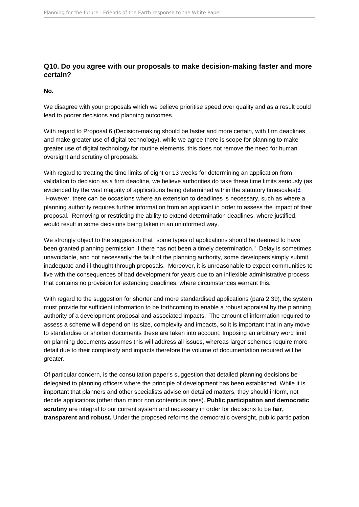#### <span id="page-14-0"></span>Q10. Do you agree with our proposals to make decision-making faster and more certain?

No.

We disagree with your proposals which we believe prioritise speed over quality and as a result could lead to poorer decisions and planning outcomes.

With regard to Proposal 6 (Decision-making should be faster and more certain, with firm deadlines, and make greater use of digital technology), while we agree there is scope for planning to make greater use of digital technology for routine elements, this does not remove the need for human oversight and scrutiny of proposals.

With regard to treating the time limits of eight or 13 weeks for determining an application from validation to decision as a firm deadline, we believe authorities do take these time limits seriously (as evidenced by the vast majority of applications being determined within the statutory timescales) $\frac{4}{3}$  $\frac{4}{3}$  $\frac{4}{3}$  However, there can be occasions where an extension to deadlines is necessary, such as where a planning authority requires further information from an applicant in order to assess the impact of their proposal. Removing or restricting the ability to extend determination deadlines, where justified, would result in some decisions being taken in an uninformed way.

We strongly object to the suggestion that "some types of applications should be deemed to have been granted planning permission if there has not been a timely determination." Delay is sometimes unavoidable, and not necessarily the fault of the planning authority, some developers simply submit inadequate and ill-thought through proposals. Moreover, it is unreasonable to expect communities to live with the consequences of bad development for years due to an inflexible administrative process that contains no provision for extending deadlines, where circumstances warrant this.

With regard to the suggestion for shorter and more standardised applications (para 2.39), the system must provide for sufficient information to be forthcoming to enable a robust appraisal by the planning authority of a development proposal and associated impacts. The amount of information required to assess a scheme will depend on its size, complexity and impacts, so it is important that in any move to standardise or shorten documents these are taken into account. Imposing an arbitrary word limit on planning documents assumes this will address all issues, whereas larger schemes require more detail due to their complexity and impacts therefore the volume of documentation required will be greater.

Of particular concern, is the consultation paper's suggestion that detailed planning decisions be delegated to planning officers where the principle of development has been established. While it is important that planners and other specialists advise on detailed matters, they should inform, not decide applications (other than minor non contentious ones). Public participation and democratic scrutiny are integral to our current system and necessary in order for decisions to be fair. transparent and robust. Under the proposed reforms the democratic oversight, public participation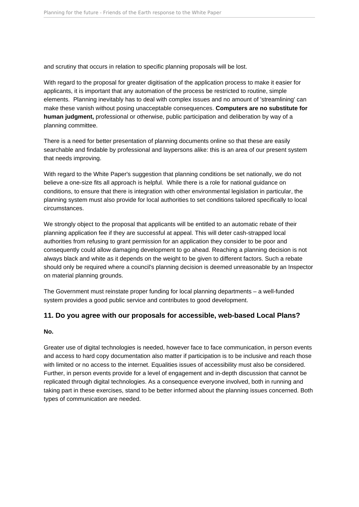and scrutiny that occurs in relation to specific planning proposals will be lost.

With regard to the proposal for greater digitisation of the application process to make it easier for applicants, it is important that any automation of the process be restricted to routine, simple elements. Planning inevitably has to deal with complex issues and no amount of 'streamlining' can make these vanish without posing unacceptable consequences. **Computers are no substitute for human judgment,** professional or otherwise, public participation and deliberation by way of a planning committee.

There is a need for better presentation of planning documents online so that these are easily searchable and findable by professional and laypersons alike: this is an area of our present system that needs improving.

With regard to the White Paper's suggestion that planning conditions be set nationally, we do not believe a one-size fits all approach is helpful. While there is a role for national guidance on conditions, to ensure that there is integration with other environmental legislation in particular, the planning system must also provide for local authorities to set conditions tailored specifically to local circumstances.

We strongly object to the proposal that applicants will be entitled to an automatic rebate of their planning application fee if they are successful at appeal. This will deter cash-strapped local authorities from refusing to grant permission for an application they consider to be poor and consequently could allow damaging development to go ahead. Reaching a planning decision is not always black and white as it depends on the weight to be given to different factors. Such a rebate should only be required where a council's planning decision is deemed unreasonable by an Inspector on material planning grounds.

The Government must reinstate proper funding for local planning departments – a well-funded system provides a good public service and contributes to good development.

#### **11. Do you agree with our proposals for accessible, web-based Local Plans?**

#### **No.**

Greater use of digital technologies is needed, however face to face communication, in person events and access to hard copy documentation also matter if participation is to be inclusive and reach those with limited or no access to the internet. Equalities issues of accessibility must also be considered. Further, in person events provide for a level of engagement and in-depth discussion that cannot be replicated through digital technologies. As a consequence everyone involved, both in running and taking part in these exercises, stand to be better informed about the planning issues concerned. Both types of communication are needed.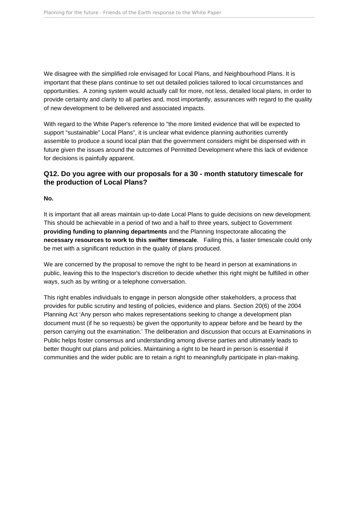We disagree with the simplified role envisaged for Local Plans, and Neighbourhood Plans. It is important that these plans continue to set out detailed policies tailored to local circumstances and opportunities. A zoning system would actually call for more, not less, detailed local plans, in order to provide certainty and clarity to all parties and, most importantly, assurances with regard to the quality of new development to be delivered and associated impacts.

With regard to the White Paper's reference to "the more limited evidence that will be expected to support "sustainable" Local Plans", it is unclear what evidence planning authorities currently assemble to produce a sound local plan that the government considers might be dispensed with in future given the issues around the outcomes of Permitted Development where this lack of evidence for decisions is painfully apparent.

### **Q12. Do you agree with our proposals for a 30 - month statutory timescale for the production of Local Plans?**

#### **No.**

It is important that all areas maintain up-to-date Local Plans to guide decisions on new development. This should be achievable in a period of two and a half to three years, subject to Government **providing funding to planning departments** and the Planning Inspectorate allocating the **necessary resources to work to this swifter timescale**. Failing this, a faster timescale could only be met with a significant reduction in the quality of plans produced.

We are concerned by the proposal to remove the right to be heard in person at examinations in public, leaving this to the Inspector's discretion to decide whether this right might be fulfilled in other ways, such as by writing or a telephone conversation.

This right enables individuals to engage in person alongside other stakeholders, a process that provides for public scrutiny and testing of policies, evidence and plans. Section 20(6) of the 2004 Planning Act 'Any person who makes representations seeking to change a development plan document must (if he so requests) be given the opportunity to appear before and be heard by the person carrying out the examination.' The deliberation and discussion that occurs at Examinations in Public helps foster consensus and understanding among diverse parties and ultimately leads to better thought out plans and policies. Maintaining a right to be heard in person is essential if communities and the wider public are to retain a right to meaningfully participate in plan-making.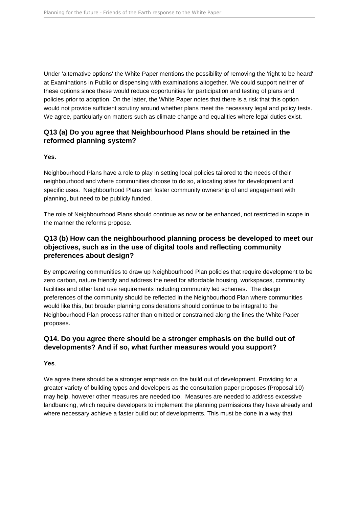Under 'alternative options' the White Paper mentions the possibility of removing the 'right to be heard' at Examinations in Public or dispensing with examinations altogether. We could support neither of these options since these would reduce opportunities for participation and testing of plans and policies prior to adoption. On the latter, the White Paper notes that there is a risk that this option would not provide sufficient scrutiny around whether plans meet the necessary legal and policy tests. We agree, particularly on matters such as climate change and equalities where legal duties exist.

### **Q13 (a) Do you agree that Neighbourhood Plans should be retained in the reformed planning system?**

#### **Yes.**

Neighbourhood Plans have a role to play in setting local policies tailored to the needs of their neighbourhood and where communities choose to do so, allocating sites for development and specific uses. Neighbourhood Plans can foster community ownership of and engagement with planning, but need to be publicly funded.

The role of Neighbourhood Plans should continue as now or be enhanced, not restricted in scope in the manner the reforms propose.

### **Q13 (b) How can the neighbourhood planning process be developed to meet our objectives, such as in the use of digital tools and reflecting community preferences about design?**

By empowering communities to draw up Neighbourhood Plan policies that require development to be zero carbon, nature friendly and address the need for affordable housing, workspaces, community facilities and other land use requirements including community led schemes. The design preferences of the community should be reflected in the Neighbourhood Plan where communities would like this, but broader planning considerations should continue to be integral to the Neighbourhood Plan process rather than omitted or constrained along the lines the White Paper proposes.

### **Q14. Do you agree there should be a stronger emphasis on the build out of developments? And if so, what further measures would you support?**

#### **Yes**.

We agree there should be a stronger emphasis on the build out of development. Providing for a greater variety of building types and developers as the consultation paper proposes (Proposal 10) may help, however other measures are needed too. Measures are needed to address excessive landbanking, which require developers to implement the planning permissions they have already and where necessary achieve a faster build out of developments. This must be done in a way that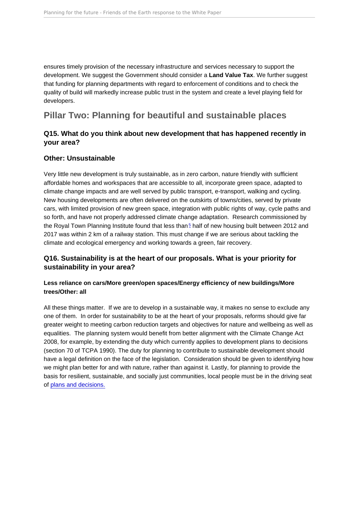<span id="page-18-0"></span>ensures timely provision of the necessary infrastructure and services necessary to support the development. We suggest the Government should consider a Land Value Tax . We further suggest that funding for planning departments with regard to enforcement of conditions and to check the quality of build will markedly increase public trust in the system and create a level playing field for developers.

## Pillar Two: Planning for beautiful and sustainable places

Q15. What do you think about new development that has happened recently in your area?

#### Other: Unsustainable

Very little new development is truly sustainable, as in zero carbon, nature friendly with sufficient affordable homes and workspaces that are accessible to all, incorporate green space, adapted to climate change impacts and are well served by public transport, e-transport, walking and cycling. New housing developments are often delivered on the outskirts of towns/cities, served by private cars, with limited provision of new green space, integration with public rights of way, cycle paths and so forth, and have not properly addressed climate change adaptation. Research commissioned by the Royal Town Planning Institute found that less than [5](#page-25-0) half of new housing built between 2012 and 2017 was within 2 km of a railway station. This must change if we are serious about tackling the climate and ecological emergency and working towards a green, fair recovery.

Q16. Sustainability is at the heart of our proposals. What is your priority for sustainability in your area?

Less reliance on cars/More green/open spaces/Energy efficiency of new buildings/More trees/Other: all

All these things matter. If we are to develop in a sustainable way, it makes no sense to exclude any one of them. In order for sustainability to be at the heart of your proposals, reforms should give far greater weight to meeting carbon reduction targets and objectives for nature and wellbeing as well as equalities. The planning system would benefit from better alignment with the Climate Change Act 2008, for example, by extending the duty which currently applies to development plans to decisions (section 70 of TCPA 1990). The duty for planning to contribute to sustainable development should have a legal definition on the face of the legislation. Consideration should be given to identifying how we might plan better for and with nature, rather than against it. Lastly, for planning to provide the basis for resilient, sustainable, and socially just communities, local people must be in the driving seat of [plans and decisions.](https://friendsoftheearth.uk/climate-change/coronavirus-green-and-fair-recovery-plan)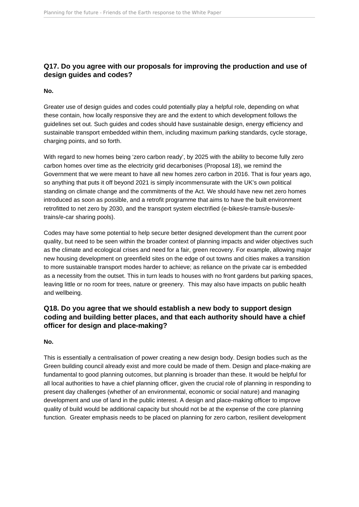### **Q17. Do you agree with our proposals for improving the production and use of design guides and codes?**

#### **No.**

Greater use of design guides and codes could potentially play a helpful role, depending on what these contain, how locally responsive they are and the extent to which development follows the guidelines set out. Such guides and codes should have sustainable design, energy efficiency and sustainable transport embedded within them, including maximum parking standards, cycle storage, charging points, and so forth.

With regard to new homes being 'zero carbon ready', by 2025 with the ability to become fully zero carbon homes over time as the electricity grid decarbonises (Proposal 18), we remind the Government that we were meant to have all new homes zero carbon in 2016. That is four years ago, so anything that puts it off beyond 2021 is simply incommensurate with the UK's own political standing on climate change and the commitments of the Act. We should have new net zero homes introduced as soon as possible, and a retrofit programme that aims to have the built environment retrofitted to net zero by 2030, and the transport system electrified (e-bikes/e-trams/e-buses/etrains/e-car sharing pools).

Codes may have some potential to help secure better designed development than the current poor quality, but need to be seen within the broader context of planning impacts and wider objectives such as the climate and ecological crises and need for a fair, green recovery. For example, allowing major new housing development on greenfield sites on the edge of out towns and cities makes a transition to more sustainable transport modes harder to achieve; as reliance on the private car is embedded as a necessity from the outset. This in turn leads to houses with no front gardens but parking spaces, leaving little or no room for trees, nature or greenery. This may also have impacts on public health and wellbeing.

### **Q18. Do you agree that we should establish a new body to support design coding and building better places, and that each authority should have a chief officer for design and place-making?**

**No.** 

This is essentially a centralisation of power creating a new design body. Design bodies such as the Green building council already exist and more could be made of them. Design and place-making are fundamental to good planning outcomes, but planning is broader than these. It would be helpful for all local authorities to have a chief planning officer, given the crucial role of planning in responding to present day challenges (whether of an environmental, economic or social nature) and managing development and use of land in the public interest. A design and place-making officer to improve quality of build would be additional capacity but should not be at the expense of the core planning function. Greater emphasis needs to be placed on planning for zero carbon, resilient development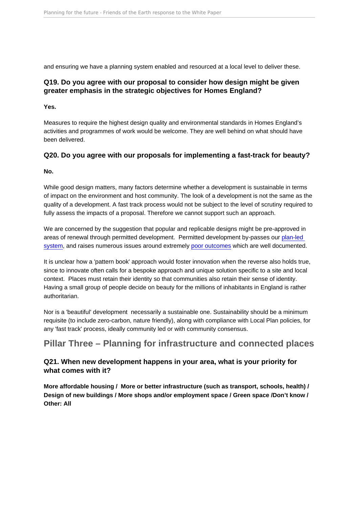<span id="page-20-0"></span>and ensuring we have a planning system enabled and resourced at a local level to deliver these.

Q19. Do you agree with our proposal to consider how design might be given greater emphasis in the strategic objectives for Homes England?

Yes.

Measures to require the highest design quality and environmental standards in Homes England's activities and programmes of work would be welcome. They are well behind on what should have been delivered.

Q20. Do you agree with our proposals for implementing a fast-track for beauty?

No.

While good design matters, many factors determine whether a development is sustainable in terms of impact on the environment and host community. The look of a development is not the same as the quality of a development. A fast track process would not be subject to the level of scrutiny required to fully assess the impacts of a proposal. Therefore we cannot support such an approach.

We are concerned by the suggestion that popular and replicable designs might be pre-approved in areas of renewal through permitted development. Permitted development by-passes our [plan-led](https://policy.friendsoftheearth.ukNo place for place-making)  [system](https://policy.friendsoftheearth.ukNo place for place-making), and raises numerous issues around extremely [poor outcomes](https://policy.friendsoftheearth.ukResearch into the quality standard of homes delivered through change of use permitted development rights.) which are well documented.

It is unclear how a 'pattern book' approach would foster innovation when the reverse also holds true, since to innovate often calls for a bespoke approach and unique solution specific to a site and local context. Places must retain their identity so that communities also retain their sense of identity. Having a small group of people decide on beauty for the millions of inhabitants in England is rather authoritarian.

Nor is a 'beautiful' development necessarily a sustainable one. Sustainability should be a minimum requisite (to include zero-carbon, nature friendly), along with compliance with Local Plan policies, for any 'fast track' process, ideally community led or with community consensus.

Pillar Three – Planning for infrastructure and connected places

Q21. When new development happens in your area, what is your priority for what comes with it?

More affordable housing / More or better infrastructure (such as transport, schools, health) / Design of new buildings / More shops and/or employment space / Green space /Don't know / Other: All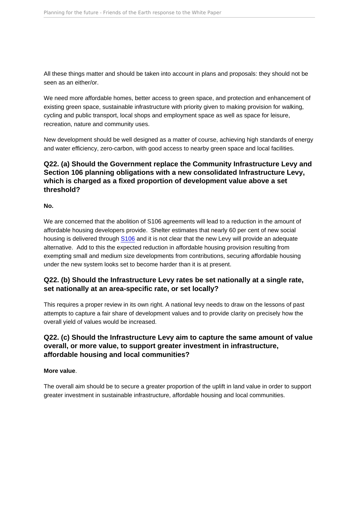All these things matter and should be taken into account in plans and proposals: they should not be seen as an either/or.

We need more affordable homes, better access to green space, and protection and enhancement of existing green space, sustainable infrastructure with priority given to making provision for walking, cycling and public transport, local shops and employment space as well as space for leisure, recreation, nature and community uses.

New development should be well designed as a matter of course, achieving high standards of energy and water efficiency, zero-carbon, with good access to nearby green space and local facilities.

Q22. (a) Should the Government replace the Community Infrastructure Levy and Section 106 planning obligations with a new consolidated Infrastructure Levy, which is charged as a fixed proportion of development value above a set threshold?

No.

We are concerned that the abolition of S106 agreements will lead to a reduction in the amount of affordable housing developers provide. Shelter estimates that nearly 60 per cent of new social housing is delivered through [S106](https://england.shelter.org.uk/media/press_releases/articles/shelter_responds_to_new_planning_reforms/shelter_responds_to_major_new_planning_reforms) and it is not clear that the new Levy will provide an adequate alternative. Add to this the expected reduction in affordable housing provision resulting from exempting small and medium size developments from contributions, securing affordable housing under the new system looks set to become harder than it is at present.

Q22. (b) Should the Infrastructure Levy rates be set nationally at a single rate, set nationally at an area-specific rate, or set locally?

This requires a proper review in its own right. A national levy needs to draw on the lessons of past attempts to capture a fair share of development values and to provide clarity on precisely how the overall yield of values would be increased.

Q22. (c) Should the Infrastructure Levy aim to capture the same amount of value overall, or more value, to support greater investment in infrastructure, affordable housing and local communities?

More value .

The overall aim should be to secure a greater proportion of the uplift in land value in order to support greater investment in sustainable infrastructure, affordable housing and local communities.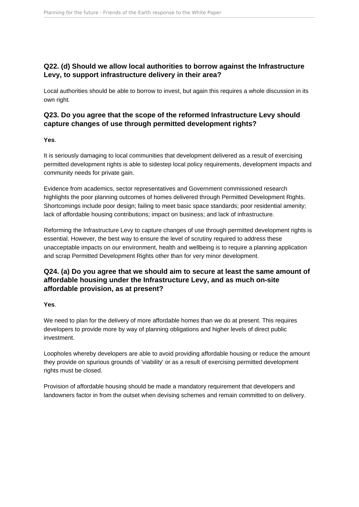### **Q22. (d) Should we allow local authorities to borrow against the Infrastructure Levy, to support infrastructure delivery in their area?**

Local authorities should be able to borrow to invest, but again this requires a whole discussion in its own right.

### **Q23. Do you agree that the scope of the reformed Infrastructure Levy should capture changes of use through permitted development rights?**

#### **Yes**.

It is seriously damaging to local communities that development delivered as a result of exercising permitted development rights is able to sidestep local policy requirements, development impacts and community needs for private gain.

Evidence from academics, sector representatives and Government commissioned research highlights the poor planning outcomes of homes delivered through Permitted Development Rights. Shortcomings include poor design; failing to meet basic space standards; poor residential amenity; lack of affordable housing contributions; impact on business; and lack of infrastructure.

Reforming the Infrastructure Levy to capture changes of use through permitted development rights is essential. However, the best way to ensure the level of scrutiny required to address these unacceptable impacts on our environment, health and wellbeing is to require a planning application and scrap Permitted Development Rights other than for very minor development.

### **Q24. (a) Do you agree that we should aim to secure at least the same amount of affordable housing under the Infrastructure Levy, and as much on-site affordable provision, as at present?**

#### **Yes**.

We need to plan for the delivery of more affordable homes than we do at present. This requires developers to provide more by way of planning obligations and higher levels of direct public investment.

Loopholes whereby developers are able to avoid providing affordable housing or reduce the amount they provide on spurious grounds of 'viability' or as a result of exercising permitted development rights must be closed.

Provision of affordable housing should be made a mandatory requirement that developers and landowners factor in from the outset when devising schemes and remain committed to on delivery.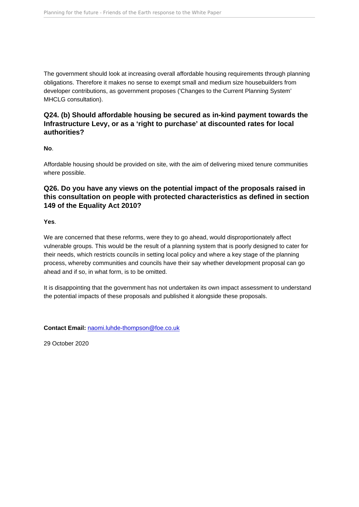The government should look at increasing overall affordable housing requirements through planning obligations. Therefore it makes no sense to exempt small and medium size housebuilders from developer contributions, as government proposes ('Changes to the Current Planning System' MHCLG consultation).

Q24. (b) Should affordable housing be secured as in-kind payment towards the Infrastructure Levy, or as a 'right to purchase' at discounted rates for local authorities?

No.

Affordable housing should be provided on site, with the aim of delivering mixed tenure communities where possible.

Q26. Do you have any views on the potential impact of the proposals raised in this consultation on people with protected characteristics as defined in section 149 of the Equality Act 2010?

Yes.

We are concerned that these reforms, were they to go ahead, would disproportionately affect vulnerable groups. This would be the result of a planning system that is poorly designed to cater for their needs, which restricts councils in setting local policy and where a key stage of the planning process, whereby communities and councils have their say whether development proposal can go ahead and if so, in what form, is to be omitted.

It is disappointing that the government has not undertaken its own impact assessment to understand the potential impacts of these proposals and published it alongside these proposals.

Contact Email: [naomi.luhde-thompson@foe.co.uk](mailto:naomi.luhde-thompson@foe.co.uk)

29 October 2020